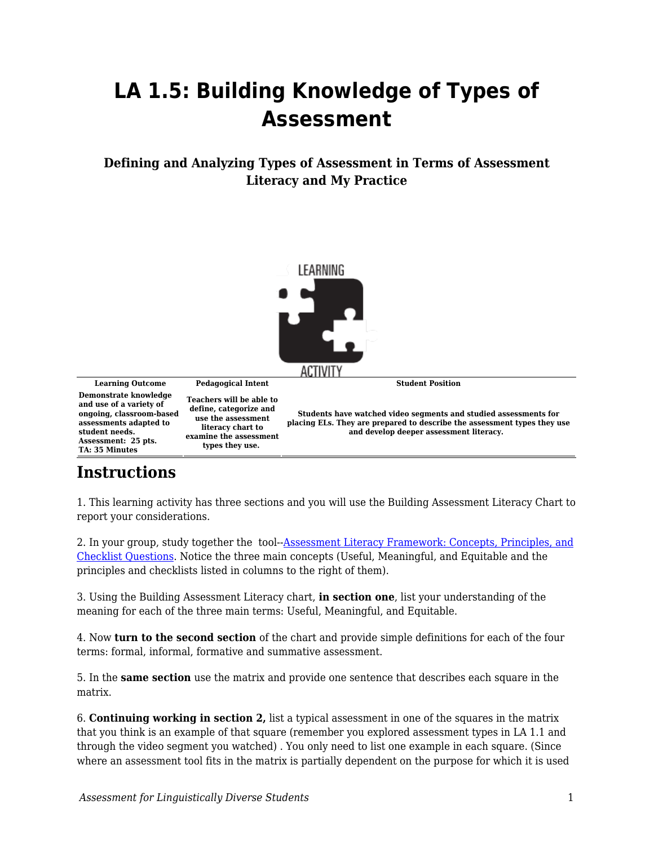## **LA 1.5: Building Knowledge of Types of Assessment**

## **Defining and Analyzing Types of Assessment in Terms of Assessment Literacy and My Practice**



## **Instructions**

1. This learning activity has three sections and you will use the Building Assessment Literacy Chart to report your considerations.

2. In your group, study together the tool-[-Assessment Literacy Framework: Concepts, Principles, and](https://byu.box.com/s/f07i0rcg81x19as0l8eeom0ybwdrj8zr) [Checklist Questions.](https://byu.box.com/s/f07i0rcg81x19as0l8eeom0ybwdrj8zr) Notice the three main concepts (Useful, Meaningful, and Equitable and the principles and checklists listed in columns to the right of them).

3. Using the Building Assessment Literacy chart, **in section one**, list your understanding of the meaning for each of the three main terms: Useful, Meaningful, and Equitable.

4. Now **turn to the second section** of the chart and provide simple definitions for each of the four terms: formal, informal, formative and summative assessment.

5. In the **same section** use the matrix and provide one sentence that describes each square in the matrix.

6. **Continuing working in section 2,** list a typical assessment in one of the squares in the matrix that you think is an example of that square (remember you explored assessment types in LA 1.1 and through the video segment you watched) . You only need to list one example in each square. (Since where an assessment tool fits in the matrix is partially dependent on the purpose for which it is used